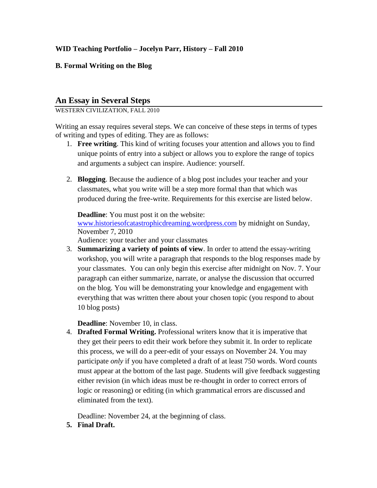## **WID Teaching Portfolio – Jocelyn Parr, History – Fall 2010**

## **B. Formal Writing on the Blog**

## **An Essay in Several Steps**

WESTERN CIVILIZATION, FALL 2010

Writing an essay requires several steps. We can conceive of these steps in terms of types of writing and types of editing. They are as follows:

- 1. **Free writing**. This kind of writing focuses your attention and allows you to find unique points of entry into a subject or allows you to explore the range of topics and arguments a subject can inspire. Audience: yourself.
- 2. **Blogging**. Because the audience of a blog post includes your teacher and your classmates, what you write will be a step more formal than that which was produced during the free-write. Requirements for this exercise are listed below.

**Deadline**: You must post it on the website: [www.historiesofcatastrophicdreaming.wordpress.com](http://www.historiesofcatastrophicdreaming.wordpress.com/) by midnight on Sunday, November 7, 2010

Audience: your teacher and your classmates

3. **Summarizing a variety of points of view**. In order to attend the essay-writing workshop, you will write a paragraph that responds to the blog responses made by your classmates. You can only begin this exercise after midnight on Nov. 7. Your paragraph can either summarize, narrate, or analyse the discussion that occurred on the blog. You will be demonstrating your knowledge and engagement with everything that was written there about your chosen topic (you respond to about 10 blog posts)

**Deadline**: November 10, in class.

4. **Drafted Formal Writing.** Professional writers know that it is imperative that they get their peers to edit their work before they submit it. In order to replicate this process, we will do a peer-edit of your essays on November 24. You may participate *only* if you have completed a draft of at least 750 words. Word counts must appear at the bottom of the last page. Students will give feedback suggesting either revision (in which ideas must be re-thought in order to correct errors of logic or reasoning) or editing (in which grammatical errors are discussed and eliminated from the text).

Deadline: November 24, at the beginning of class.

**5. Final Draft.**